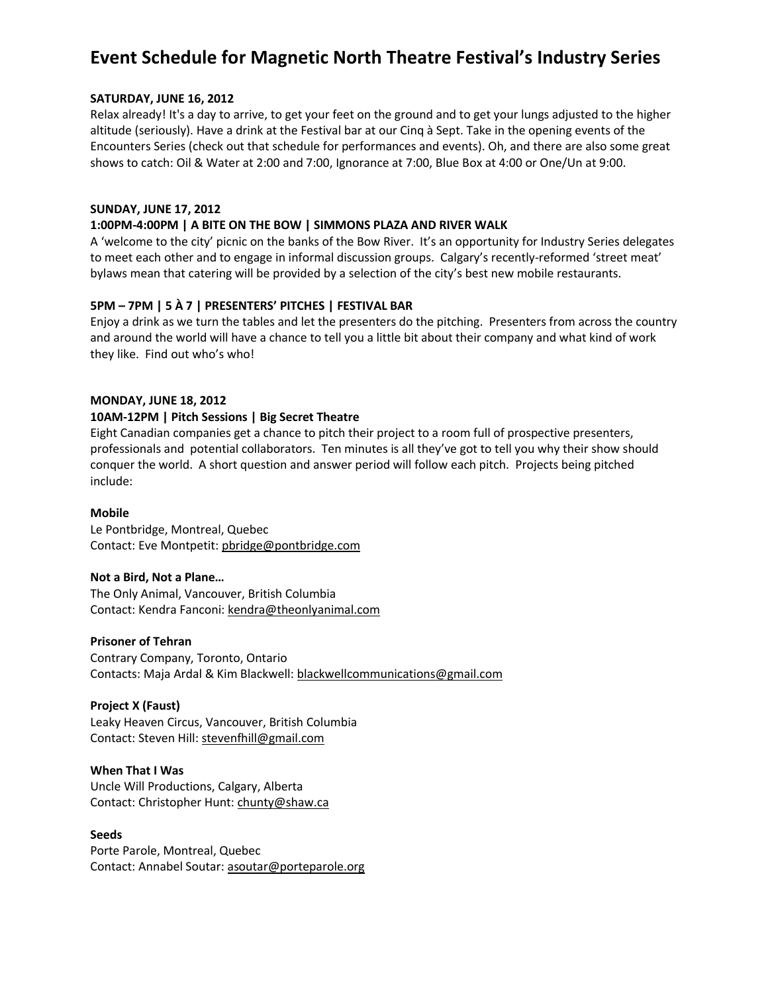# **Event Schedule for Magnetic North Theatre Festival's Industry Series**

## **SATURDAY, JUNE 16, 2012**

Relax already! It's a day to arrive, to get your feet on the ground and to get your lungs adjusted to the higher altitude (seriously). Have a drink at the Festival bar at our Cinq à Sept. Take in the opening events of the Encounters Series (check out that schedule for performances and events). Oh, and there are also some great shows to catch: Oil & Water at 2:00 and 7:00, Ignorance at 7:00, Blue Box at 4:00 or One/Un at 9:00.

## **SUNDAY, JUNE 17, 2012**

# **1:00PM-4:00PM | A BITE ON THE BOW | SIMMONS PLAZA AND RIVER WALK**

A 'welcome to the city' picnic on the banks of the Bow River. It's an opportunity for Industry Series delegates to meet each other and to engage in informal discussion groups. Calgary's recently-reformed 'street meat' bylaws mean that catering will be provided by a selection of the city's best new mobile restaurants.

# **5PM – 7PM | 5 À 7 | PRESENTERS' PITCHES | FESTIVAL BAR**

Enjoy a drink as we turn the tables and let the presenters do the pitching. Presenters from across the country and around the world will have a chance to tell you a little bit about their company and what kind of work they like. Find out who's who!

## **MONDAY, JUNE 18, 2012**

## **10AM-12PM | Pitch Sessions | Big Secret Theatre**

Eight Canadian companies get a chance to pitch their project to a room full of prospective presenters, professionals and potential collaborators. Ten minutes is all they've got to tell you why their show should conquer the world. A short question and answer period will follow each pitch. Projects being pitched include:

#### **Mobile**

Le Pontbridge, Montreal, Quebec Contact: Eve Montpetit: pbridge@pontbridge.com

# **Not a Bird, Not a Plane…**

The Only Animal, Vancouver, British Columbia Contact: Kendra Fanconi: kendra@theonlyanimal.com

#### **Prisoner of Tehran**

Contrary Company, Toronto, Ontario Contacts: Maja Ardal & Kim Blackwell: blackwellcommunications@gmail.com

# **Project X (Faust)**

Leaky Heaven Circus, Vancouver, British Columbia Contact: Steven Hill: stevenfhill@gmail.com

#### **When That I Was**

Uncle Will Productions, Calgary, Alberta Contact: Christopher Hunt: chunty@shaw.ca

#### **Seeds**

Porte Parole, Montreal, Quebec Contact: Annabel Soutar: asoutar@porteparole.org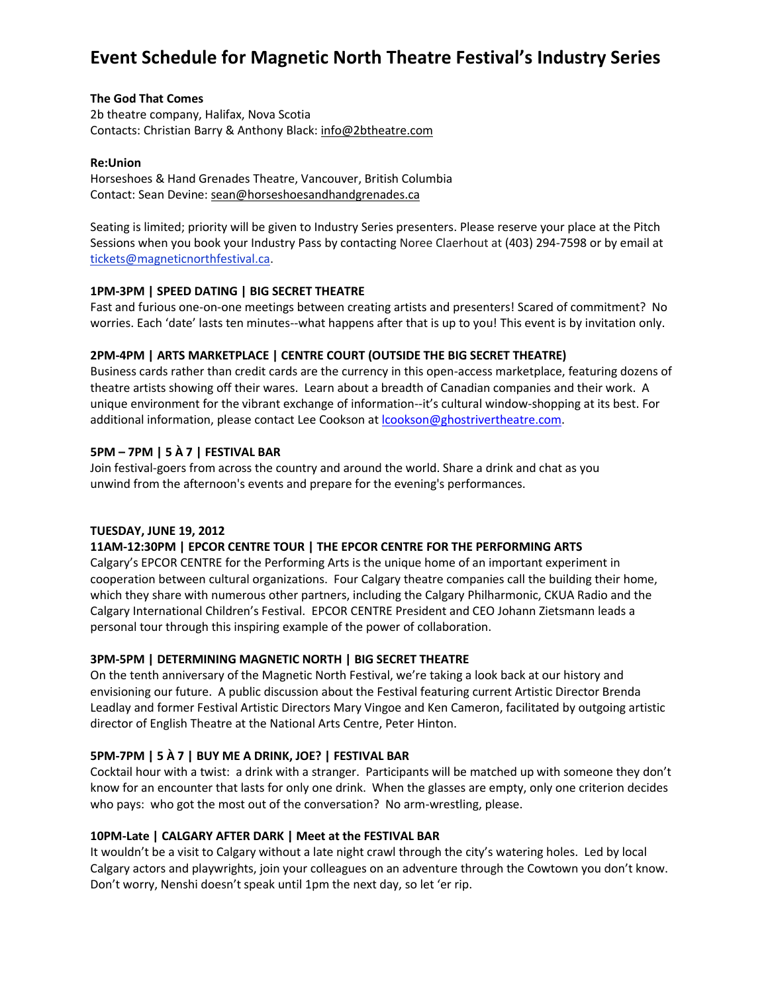# **Event Schedule for Magnetic North Theatre Festival's Industry Series**

### **The God That Comes**

2b theatre company, Halifax, Nova Scotia Contacts: Christian Barry & Anthony Black: info@2btheatre.com

#### **Re:Union**

Horseshoes & Hand Grenades Theatre, Vancouver, British Columbia Contact: Sean Devine: sean@horseshoesandhandgrenades.ca

Seating is limited; priority will be given to Industry Series presenters. Please reserve your place at the Pitch Sessions when you book your Industry Pass by contacting Noree Claerhout at (403) 294-7598 or by email at [tickets@magneticnorthfestival.ca.](mailto:tickets@magneticnorthfestival.ca)

## **1PM-3PM | SPEED DATING | BIG SECRET THEATRE**

Fast and furious one-on-one meetings between creating artists and presenters! Scared of commitment? No worries. Each 'date' lasts ten minutes--what happens after that is up to you! This event is by invitation only.

## **2PM-4PM | ARTS MARKETPLACE | CENTRE COURT (OUTSIDE THE BIG SECRET THEATRE)**

Business cards rather than credit cards are the currency in this open-access marketplace, featuring dozens of theatre artists showing off their wares. Learn about a breadth of Canadian companies and their work. A unique environment for the vibrant exchange of information--it's cultural window-shopping at its best. For additional information, please contact Lee Cookson at *lcookson@ghostrivertheatre.com*.

## **5PM – 7PM | 5 À 7 | FESTIVAL BAR**

Join festival-goers from across the country and around the world. Share a drink and chat as you unwind from the afternoon's events and prepare for the evening's performances.

#### **TUESDAY, JUNE 19, 2012**

# **11AM-12:30PM | EPCOR CENTRE TOUR | THE EPCOR CENTRE FOR THE PERFORMING ARTS**

Calgary's EPCOR CENTRE for the Performing Arts is the unique home of an important experiment in cooperation between cultural organizations. Four Calgary theatre companies call the building their home, which they share with numerous other partners, including the Calgary Philharmonic, CKUA Radio and the Calgary International Children's Festival. EPCOR CENTRE President and CEO Johann Zietsmann leads a personal tour through this inspiring example of the power of collaboration.

#### **3PM-5PM | DETERMINING MAGNETIC NORTH | BIG SECRET THEATRE**

On the tenth anniversary of the Magnetic North Festival, we're taking a look back at our history and envisioning our future. A public discussion about the Festival featuring current Artistic Director Brenda Leadlay and former Festival Artistic Directors Mary Vingoe and Ken Cameron, facilitated by outgoing artistic director of English Theatre at the National Arts Centre, Peter Hinton.

#### **5PM-7PM | 5 À 7 | BUY ME A DRINK, JOE? | FESTIVAL BAR**

Cocktail hour with a twist: a drink with a stranger. Participants will be matched up with someone they don't know for an encounter that lasts for only one drink. When the glasses are empty, only one criterion decides who pays: who got the most out of the conversation? No arm-wrestling, please.

#### **10PM-Late | CALGARY AFTER DARK | Meet at the FESTIVAL BAR**

It wouldn't be a visit to Calgary without a late night crawl through the city's watering holes. Led by local Calgary actors and playwrights, join your colleagues on an adventure through the Cowtown you don't know. Don't worry, Nenshi doesn't speak until 1pm the next day, so let 'er rip.